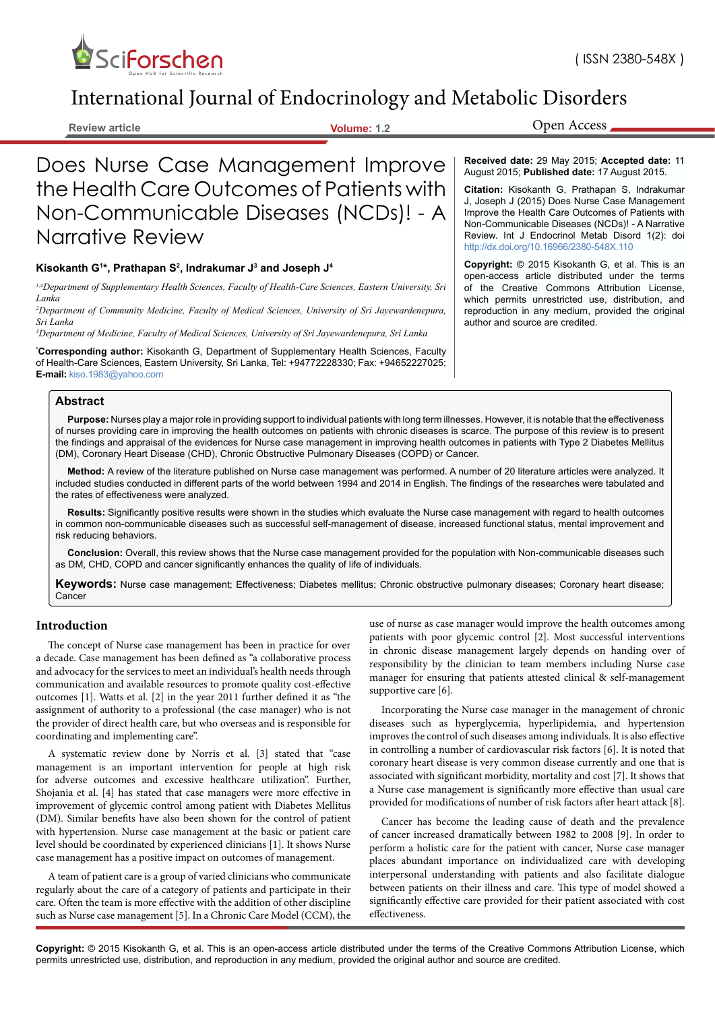

# International Journal of Endocrinology and Metabolic Disorders

**Review article Volume: 1.2**

Does Nurse Case Management Improve the Health Care Outcomes of Patients with Non-Communicable Diseases (NCDs)! - A Narrative Review

#### **Kisokanth G1 \*, Prathapan S2 , Indrakumar J3 and Joseph J4**

*1,4Department of Supplementary Health Sciences, Faculty of Health-Care Sciences, Eastern University, Sri Lanka* 

*2 Department of Community Medicine, Faculty of Medical Sciences, University of Sri Jayewardenepura, Sri Lanka*

*3 Department of Medicine, Faculty of Medical Sciences, University of Sri Jayewardenepura, Sri Lanka*

**\* Corresponding author:** Kisokanth G, Department of Supplementary Health Sciences, Faculty of Health-Care Sciences, Eastern University, Sri Lanka, Tel: +94772228330; Fax: +94652227025; **E-mail:** kiso.1983@yahoo.com

### **Abstract**

**Purpose:** Nurses play a major role in providing support to individual patients with long term illnesses. However, it is notable that the effectiveness of nurses providing care in improving the health outcomes on patients with chronic diseases is scarce. The purpose of this review is to present the findings and appraisal of the evidences for Nurse case management in improving health outcomes in patients with Type 2 Diabetes Mellitus (DM), Coronary Heart Disease (CHD), Chronic Obstructive Pulmonary Diseases (COPD) or Cancer.

**Method:** A review of the literature published on Nurse case management was performed. A number of 20 literature articles were analyzed. It included studies conducted in different parts of the world between 1994 and 2014 in English. The findings of the researches were tabulated and the rates of effectiveness were analyzed.

**Results:** Significantly positive results were shown in the studies which evaluate the Nurse case management with regard to health outcomes in common non-communicable diseases such as successful self-management of disease, increased functional status, mental improvement and risk reducing behaviors.

**Conclusion:** Overall, this review shows that the Nurse case management provided for the population with Non-communicable diseases such as DM, CHD, COPD and cancer significantly enhances the quality of life of individuals.

**Keywords:** Nurse case management; Effectiveness; Diabetes mellitus; Chronic obstructive pulmonary diseases; Coronary heart disease; Cancer

#### **Introduction**

The concept of Nurse case management has been in practice for over a decade. Case management has been defined as "a collaborative process and advocacy for the services to meet an individual's health needs through communication and available resources to promote quality cost-effective outcomes [1]. Watts et al. [2] in the year 2011 further defined it as "the assignment of authority to a professional (the case manager) who is not the provider of direct health care, but who overseas and is responsible for coordinating and implementing care".

A systematic review done by Norris et al. [3] stated that "case management is an important intervention for people at high risk for adverse outcomes and excessive healthcare utilization". Further, Shojania et al. [4] has stated that case managers were more effective in improvement of glycemic control among patient with Diabetes Mellitus (DM). Similar benefits have also been shown for the control of patient with hypertension. Nurse case management at the basic or patient care level should be coordinated by experienced clinicians [1]. It shows Nurse case management has a positive impact on outcomes of management.

A team of patient care is a group of varied clinicians who communicate regularly about the care of a category of patients and participate in their care. Often the team is more effective with the addition of other discipline such as Nurse case management [5]. In a Chronic Care Model (CCM), the

use of nurse as case manager would improve the health outcomes among patients with poor glycemic control [2]. Most successful interventions in chronic disease management largely depends on handing over of responsibility by the clinician to team members including Nurse case manager for ensuring that patients attested clinical & self-management supportive care [6].

Incorporating the Nurse case manager in the management of chronic diseases such as hyperglycemia, hyperlipidemia, and hypertension improves the control of such diseases among individuals. It is also effective in controlling a number of cardiovascular risk factors [6]. It is noted that coronary heart disease is very common disease currently and one that is associated with significant morbidity, mortality and cost [7]. It shows that a Nurse case management is significantly more effective than usual care provided for modifications of number of risk factors after heart attack [8].

Cancer has become the leading cause of death and the prevalence of cancer increased dramatically between 1982 to 2008 [9]. In order to perform a holistic care for the patient with cancer, Nurse case manager places abundant importance on individualized care with developing interpersonal understanding with patients and also facilitate dialogue between patients on their illness and care. This type of model showed a significantly effective care provided for their patient associated with cost effectiveness.

**Copyright:** © 2015 Kisokanth G, et al. This is an open-access article distributed under the terms of the Creative Commons Attribution License, which permits unrestricted use, distribution, and reproduction in any medium, provided the original author and source are credited.

Open Access

**Received date:** 29 May 2015; **Accepted date:** 11 August 2015; **Published date:** 17 August 2015.

**Citation:** Kisokanth G, Prathapan S, Indrakumar J, Joseph J (2015) Does Nurse Case Management Improve the Health Care Outcomes of Patients with Non-Communicable Diseases (NCDs)! - A Narrative Review. Int J Endocrinol Metab Disord 1(2): doi <http://dx.doi.org/10.16966/2380-548X.110>

**Copyright:** © 2015 Kisokanth G, et al. This is an open-access article distributed under the terms of the Creative Commons Attribution License, which permits unrestricted use, distribution, and reproduction in any medium, provided the original author and source are credited.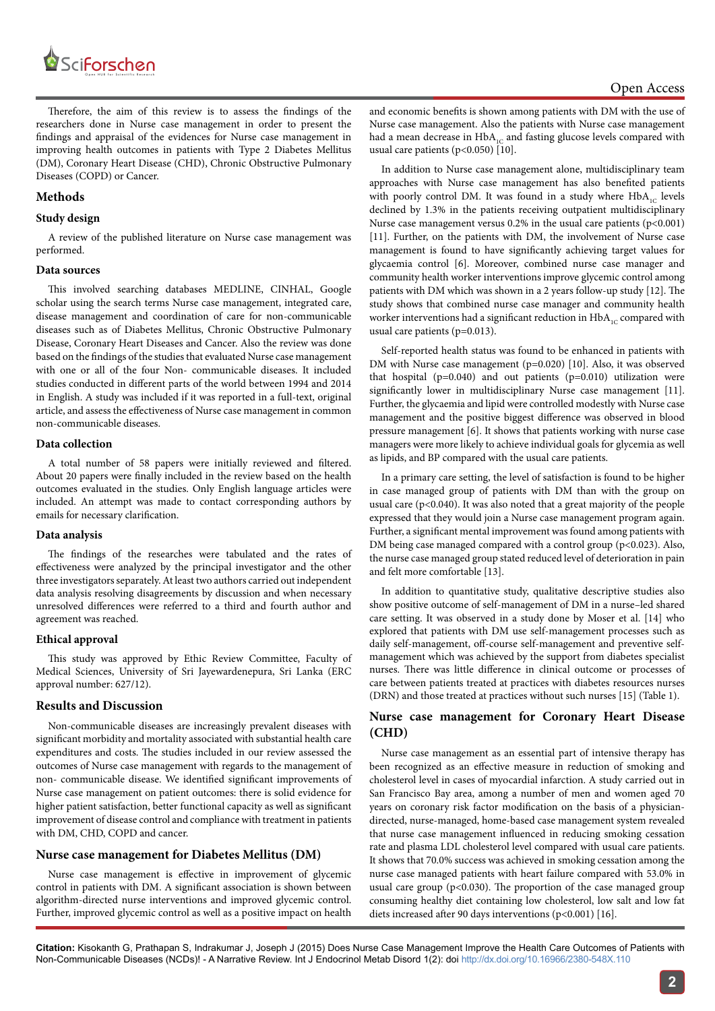

Therefore, the aim of this review is to assess the findings of the researchers done in Nurse case management in order to present the findings and appraisal of the evidences for Nurse case management in improving health outcomes in patients with Type 2 Diabetes Mellitus (DM), Coronary Heart Disease (CHD), Chronic Obstructive Pulmonary Diseases (COPD) or Cancer.

# **Methods**

### **Study design**

A review of the published literature on Nurse case management was performed.

## **Data sources**

This involved searching databases MEDLINE, CINHAL, Google scholar using the search terms Nurse case management, integrated care, disease management and coordination of care for non-communicable diseases such as of Diabetes Mellitus, Chronic Obstructive Pulmonary Disease, Coronary Heart Diseases and Cancer. Also the review was done based on the findings of the studies that evaluated Nurse case management with one or all of the four Non- communicable diseases. It included studies conducted in different parts of the world between 1994 and 2014 in English. A study was included if it was reported in a full-text, original article, and assess the effectiveness of Nurse case management in common non-communicable diseases.

# **Data collection**

A total number of 58 papers were initially reviewed and filtered. About 20 papers were finally included in the review based on the health outcomes evaluated in the studies. Only English language articles were included. An attempt was made to contact corresponding authors by emails for necessary clarification.

#### **Data analysis**

The findings of the researches were tabulated and the rates of effectiveness were analyzed by the principal investigator and the other three investigators separately. At least two authors carried out independent data analysis resolving disagreements by discussion and when necessary unresolved differences were referred to a third and fourth author and agreement was reached.

# **Ethical approval**

This study was approved by Ethic Review Committee, Faculty of Medical Sciences, University of Sri Jayewardenepura, Sri Lanka (ERC approval number: 627/12).

# **Results and Discussion**

Non-communicable diseases are increasingly prevalent diseases with significant morbidity and mortality associated with substantial health care expenditures and costs. The studies included in our review assessed the outcomes of Nurse case management with regards to the management of non- communicable disease. We identified significant improvements of Nurse case management on patient outcomes: there is solid evidence for higher patient satisfaction, better functional capacity as well as significant improvement of disease control and compliance with treatment in patients with DM, CHD, COPD and cancer.

# **Nurse case management for Diabetes Mellitus (DM)**

Nurse case management is effective in improvement of glycemic control in patients with DM. A significant association is shown between algorithm-directed nurse interventions and improved glycemic control. Further, improved glycemic control as well as a positive impact on health

and economic benefits is shown among patients with DM with the use of Nurse case management. Also the patients with Nurse case management had a mean decrease in  $HbA_{1C}$  and fasting glucose levels compared with usual care patients (p<0.050) [10].

In addition to Nurse case management alone, multidisciplinary team approaches with Nurse case management has also benefited patients with poorly control DM. It was found in a study where  $HbA_{1C}$  levels declined by 1.3% in the patients receiving outpatient multidisciplinary Nurse case management versus  $0.2\%$  in the usual care patients (p<0.001) [11]. Further, on the patients with DM, the involvement of Nurse case management is found to have significantly achieving target values for glycaemia control [6]. Moreover, combined nurse case manager and community health worker interventions improve glycemic control among patients with DM which was shown in a 2 years follow-up study [12]. The study shows that combined nurse case manager and community health worker interventions had a significant reduction in  $HbA_{1C}$  compared with usual care patients (p=0.013).

Self-reported health status was found to be enhanced in patients with DM with Nurse case management (p=0.020) [10]. Also, it was observed that hospital ( $p=0.040$ ) and out patients ( $p=0.010$ ) utilization were significantly lower in multidisciplinary Nurse case management [11]. Further, the glycaemia and lipid were controlled modestly with Nurse case management and the positive biggest difference was observed in blood pressure management [6]. It shows that patients working with nurse case managers were more likely to achieve individual goals for glycemia as well as lipids, and BP compared with the usual care patients.

In a primary care setting, the level of satisfaction is found to be higher in case managed group of patients with DM than with the group on usual care (p<0.040). It was also noted that a great majority of the people expressed that they would join a Nurse case management program again. Further, a significant mental improvement was found among patients with DM being case managed compared with a control group  $(p<0.023)$ . Also, the nurse case managed group stated reduced level of deterioration in pain and felt more comfortable [13].

In addition to quantitative study, qualitative descriptive studies also show positive outcome of self-management of DM in a nurse–led shared care setting. It was observed in a study done by Moser et al. [14] who explored that patients with DM use self-management processes such as daily self-management, off-course self-management and preventive selfmanagement which was achieved by the support from diabetes specialist nurses. There was little difference in clinical outcome or processes of care between patients treated at practices with diabetes resources nurses (DRN) and those treated at practices without such nurses [15] (Table 1).

# **Nurse case management for Coronary Heart Disease (CHD)**

Nurse case management as an essential part of intensive therapy has been recognized as an effective measure in reduction of smoking and cholesterol level in cases of myocardial infarction. A study carried out in San Francisco Bay area, among a number of men and women aged 70 years on coronary risk factor modification on the basis of a physiciandirected, nurse-managed, home-based case management system revealed that nurse case management influenced in reducing smoking cessation rate and plasma LDL cholesterol level compared with usual care patients. It shows that 70.0% success was achieved in smoking cessation among the nurse case managed patients with heart failure compared with 53.0% in usual care group (p<0.030). The proportion of the case managed group consuming healthy diet containing low cholesterol, low salt and low fat diets increased after 90 days interventions (p<0.001) [16].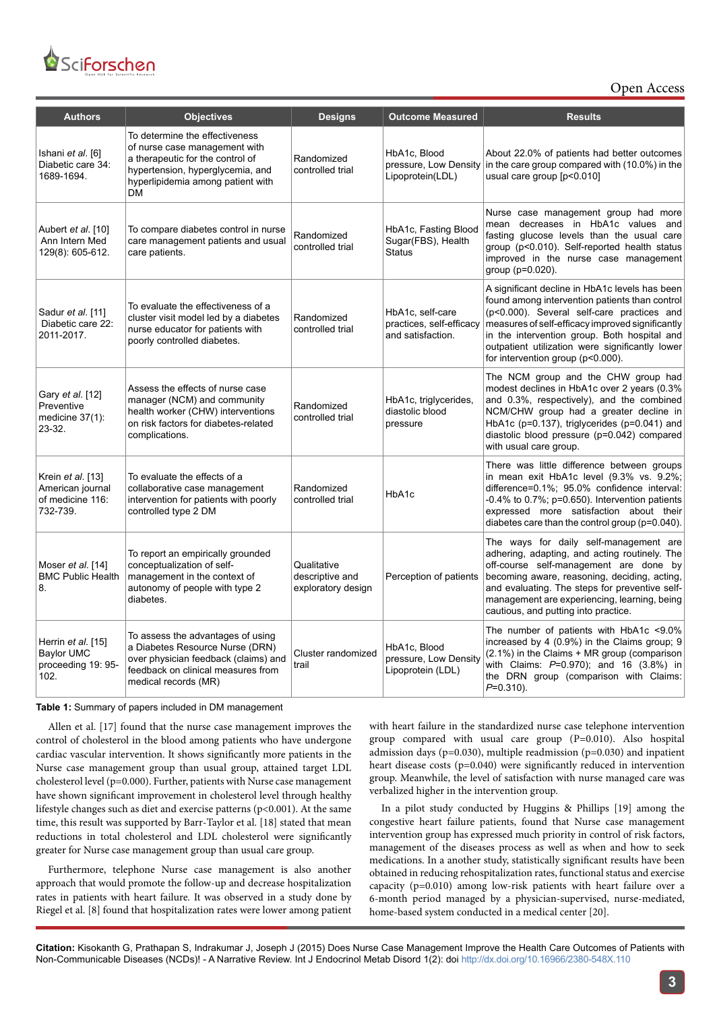# *SciForschen* Open HUB for Scientific Research

Open Access

| <b>Authors</b>                                                        | <b>Objectives</b>                                                                                                                                                                         | <b>Designs</b>                                       | <b>Outcome Measured</b>                                           | <b>Results</b>                                                                                                                                                                                                                                                                                                                             |
|-----------------------------------------------------------------------|-------------------------------------------------------------------------------------------------------------------------------------------------------------------------------------------|------------------------------------------------------|-------------------------------------------------------------------|--------------------------------------------------------------------------------------------------------------------------------------------------------------------------------------------------------------------------------------------------------------------------------------------------------------------------------------------|
| Ishani et al. [6]<br>Diabetic care 34:<br>1689-1694.                  | To determine the effectiveness<br>of nurse case management with<br>a therapeutic for the control of<br>hypertension, hyperglycemia, and<br>hyperlipidemia among patient with<br><b>DM</b> | Randomized<br>controlled trial                       | HbA1c, Blood<br>pressure, Low Density<br>Lipoprotein(LDL)         | About 22.0% of patients had better outcomes<br>in the care group compared with (10.0%) in the<br>usual care group [p<0.010]                                                                                                                                                                                                                |
| Aubert et al. [10]<br>Ann Intern Med<br>129(8): 605-612.              | To compare diabetes control in nurse<br>care management patients and usual<br>care patients.                                                                                              | Randomized<br>controlled trial                       | HbA1c, Fasting Blood<br>Sugar(FBS), Health<br><b>Status</b>       | Nurse case management group had more<br>mean decreases in HbA1c values and<br>fasting glucose levels than the usual care<br>group (p<0.010). Self-reported health status<br>improved in the nurse case management<br>group (p=0.020).                                                                                                      |
| Sadur et al. [11]<br>Diabetic care 22:<br>2011-2017.                  | To evaluate the effectiveness of a<br>cluster visit model led by a diabetes<br>nurse educator for patients with<br>poorly controlled diabetes.                                            | Randomized<br>controlled trial                       | HbA1c, self-care<br>practices, self-efficacy<br>and satisfaction. | A significant decline in HbA1c levels has been<br>found among intervention patients than control<br>(p<0.000). Several self-care practices and<br>measures of self-efficacy improved significantly<br>in the intervention group. Both hospital and<br>outpatient utilization were significantly lower<br>for intervention group (p<0.000). |
| Gary et al. [12]<br>Preventive<br>medicine $37(1)$ :<br>23-32.        | Assess the effects of nurse case<br>manager (NCM) and community<br>health worker (CHW) interventions<br>on risk factors for diabetes-related<br>complications.                            | Randomized<br>controlled trial                       | HbA1c, triglycerides,<br>diastolic blood<br>pressure              | The NCM group and the CHW group had<br>modest declines in HbA1c over 2 years (0.3%<br>and 0.3%, respectively), and the combined<br>NCM/CHW group had a greater decline in<br>HbA1c (p=0.137), triglycerides (p=0.041) and<br>diastolic blood pressure (p=0.042) compared<br>with usual care group.                                         |
| Krein et al. [13]<br>American journal<br>of medicine 116:<br>732-739. | To evaluate the effects of a<br>collaborative case management<br>intervention for patients with poorly<br>controlled type 2 DM                                                            | Randomized<br>controlled trial                       | HbA1c                                                             | There was little difference between groups<br>in mean exit HbA1c level (9.3% vs. 9.2%;<br>difference=0.1%; 95.0% confidence interval:<br>$-0.4\%$ to 0.7%; p=0.650). Intervention patients<br>expressed more satisfaction about their<br>diabetes care than the control group (p=0.040).                                                   |
| Moser et al. [14]<br><b>BMC Public Health</b><br>8.                   | To report an empirically grounded<br>conceptualization of self-<br>management in the context of<br>autonomy of people with type 2<br>diabetes.                                            | Qualitative<br>descriptive and<br>exploratory design | Perception of patients                                            | The ways for daily self-management are<br>adhering, adapting, and acting routinely. The<br>off-course self-management are done by<br>becoming aware, reasoning, deciding, acting,<br>and evaluating. The steps for preventive self-<br>management are experiencing, learning, being<br>cautious, and putting into practice.                |
| Herrin et al. [15]<br><b>Baylor UMC</b><br>proceeding 19: 95-<br>102. | To assess the advantages of using<br>a Diabetes Resource Nurse (DRN)<br>over physician feedback (claims) and<br>feedback on clinical measures from<br>medical records (MR)                | Cluster randomized<br>trail                          | HbA1c, Blood<br>pressure, Low Density<br>Lipoprotein (LDL)        | The number of patients with HbA1c <9.0%<br>increased by 4 (0.9%) in the Claims group; 9<br>(2.1%) in the Claims + MR group (comparison<br>with Claims: $P=0.970$ ; and 16 (3.8%) in<br>the DRN group (comparison with Claims:<br>$P=0.310$ ).                                                                                              |

**Table 1:** Summary of papers included in DM management

Allen et al. [17] found that the nurse case management improves the control of cholesterol in the blood among patients who have undergone cardiac vascular intervention. It shows significantly more patients in the Nurse case management group than usual group, attained target LDL cholesterol level (p=0.000). Further, patients with Nurse case management have shown significant improvement in cholesterol level through healthy lifestyle changes such as diet and exercise patterns ( $p<0.001$ ). At the same time, this result was supported by Barr-Taylor et al. [18] stated that mean reductions in total cholesterol and LDL cholesterol were significantly greater for Nurse case management group than usual care group.

Furthermore, telephone Nurse case management is also another approach that would promote the follow-up and decrease hospitalization rates in patients with heart failure. It was observed in a study done by Riegel et al. [8] found that hospitalization rates were lower among patient with heart failure in the standardized nurse case telephone intervention group compared with usual care group (P=0.010). Also hospital admission days ( $p=0.030$ ), multiple readmission ( $p=0.030$ ) and inpatient heart disease costs (p=0.040) were significantly reduced in intervention group. Meanwhile, the level of satisfaction with nurse managed care was verbalized higher in the intervention group.

In a pilot study conducted by Huggins & Phillips [19] among the congestive heart failure patients, found that Nurse case management intervention group has expressed much priority in control of risk factors, management of the diseases process as well as when and how to seek medications. In a another study, statistically significant results have been obtained in reducing rehospitalization rates, functional status and exercise capacity (p=0.010) among low-risk patients with heart failure over a 6-month period managed by a physician-supervised, nurse-mediated, home-based system conducted in a medical center [20].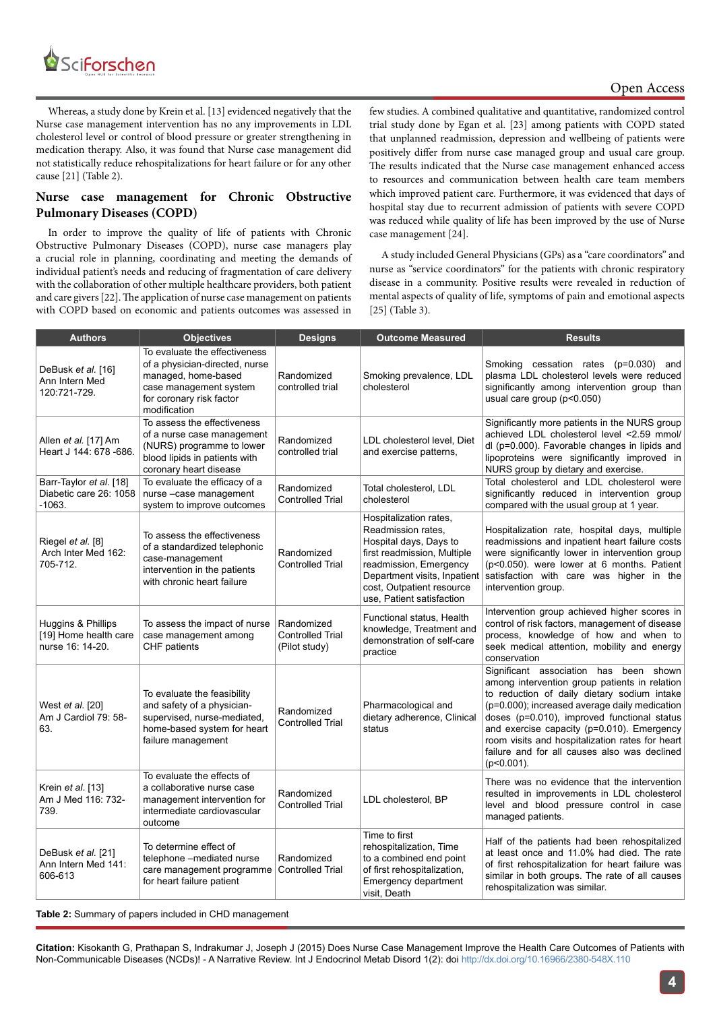

# Open Access

Whereas, a study done by Krein et al. [13] evidenced negatively that the Nurse case management intervention has no any improvements in LDL cholesterol level or control of blood pressure or greater strengthening in medication therapy. Also, it was found that Nurse case management did not statistically reduce rehospitalizations for heart failure or for any other cause [21] (Table 2).

# **Nurse case management for Chronic Obstructive Pulmonary Diseases (COPD)**

In order to improve the quality of life of patients with Chronic Obstructive Pulmonary Diseases (COPD), nurse case managers play a crucial role in planning, coordinating and meeting the demands of individual patient's needs and reducing of fragmentation of care delivery with the collaboration of other multiple healthcare providers, both patient and care givers [22]. The application of nurse case management on patients with COPD based on economic and patients outcomes was assessed in

few studies. A combined qualitative and quantitative, randomized control trial study done by Egan et al. [23] among patients with COPD stated that unplanned readmission, depression and wellbeing of patients were positively differ from nurse case managed group and usual care group. The results indicated that the Nurse case management enhanced access to resources and communication between health care team members which improved patient care. Furthermore, it was evidenced that days of hospital stay due to recurrent admission of patients with severe COPD was reduced while quality of life has been improved by the use of Nurse case management [24].

A study included General Physicians (GPs) as a "care coordinators" and nurse as "service coordinators" for the patients with chronic respiratory disease in a community. Positive results were revealed in reduction of mental aspects of quality of life, symptoms of pain and emotional aspects [25] (Table 3).

| <b>Authors</b>                                                  | <b>Objectives</b>                                                                                                                                            | <b>Designs</b>                                         | <b>Outcome Measured</b>                                                                                                                                                                                                   | <b>Results</b>                                                                                                                                                                                                                                                                                                                                                                                           |
|-----------------------------------------------------------------|--------------------------------------------------------------------------------------------------------------------------------------------------------------|--------------------------------------------------------|---------------------------------------------------------------------------------------------------------------------------------------------------------------------------------------------------------------------------|----------------------------------------------------------------------------------------------------------------------------------------------------------------------------------------------------------------------------------------------------------------------------------------------------------------------------------------------------------------------------------------------------------|
| DeBusk <i>et al.</i> [16]<br>Ann Intern Med<br>120:721-729.     | To evaluate the effectiveness<br>of a physician-directed, nurse<br>managed, home-based<br>case management system<br>for coronary risk factor<br>modification | Randomized<br>controlled trial                         | Smoking prevalence, LDL<br>cholesterol                                                                                                                                                                                    | Smoking cessation rates (p=0.030) and<br>plasma LDL cholesterol levels were reduced<br>significantly among intervention group than<br>usual care group (p<0.050)                                                                                                                                                                                                                                         |
| Allen et al. [17] Am<br>Heart J 144: 678 -686.                  | To assess the effectiveness<br>of a nurse case management<br>(NURS) programme to lower<br>blood lipids in patients with<br>coronary heart disease            | Randomized<br>controlled trial                         | LDL cholesterol level, Diet<br>and exercise patterns,                                                                                                                                                                     | Significantly more patients in the NURS group<br>achieved LDL cholesterol level <2.59 mmol/<br>dl (p=0.000). Favorable changes in lipids and<br>lipoproteins were significantly improved in<br>NURS group by dietary and exercise.                                                                                                                                                                       |
| Barr-Taylor et al. [18]<br>Diabetic care 26: 1058<br>$-1063.$   | To evaluate the efficacy of a<br>nurse-case management<br>system to improve outcomes                                                                         | Randomized<br><b>Controlled Trial</b>                  | Total cholesterol, LDL<br>cholesterol                                                                                                                                                                                     | Total cholesterol and LDL cholesterol were<br>significantly reduced in intervention group<br>compared with the usual group at 1 year.                                                                                                                                                                                                                                                                    |
| Riegel et al. [8]<br>Arch Inter Med 162:<br>705-712.            | To assess the effectiveness<br>of a standardized telephonic<br>case-management<br>intervention in the patients<br>with chronic heart failure                 | Randomized<br><b>Controlled Trial</b>                  | Hospitalization rates,<br>Readmission rates.<br>Hospital days, Days to<br>first readmission, Multiple<br>readmission, Emergency<br>Department visits, Inpatient<br>cost, Outpatient resource<br>use, Patient satisfaction | Hospitalization rate, hospital days, multiple<br>readmissions and inpatient heart failure costs<br>were significantly lower in intervention group<br>(p<0.050). were lower at 6 months. Patient<br>satisfaction with care was higher in the<br>intervention group.                                                                                                                                       |
| Huggins & Phillips<br>[19] Home health care<br>nurse 16: 14-20. | To assess the impact of nurse<br>case management among<br>CHF patients                                                                                       | Randomized<br><b>Controlled Trial</b><br>(Pilot study) | Functional status, Health<br>knowledge, Treatment and<br>demonstration of self-care<br>practice                                                                                                                           | Intervention group achieved higher scores in<br>control of risk factors, management of disease<br>process, knowledge of how and when to<br>seek medical attention, mobility and energy<br>conservation                                                                                                                                                                                                   |
| West et al. [20]<br>Am J Cardiol 79: 58-<br>63.                 | To evaluate the feasibility<br>and safety of a physician-<br>supervised, nurse-mediated,<br>home-based system for heart<br>failure management                | Randomized<br><b>Controlled Trial</b>                  | Pharmacological and<br>dietary adherence, Clinical<br>status                                                                                                                                                              | Significant association has been shown<br>among intervention group patients in relation<br>to reduction of daily dietary sodium intake<br>(p=0.000); increased average daily medication<br>doses (p=0.010), improved functional status<br>and exercise capacity (p=0.010). Emergency<br>room visits and hospitalization rates for heart<br>failure and for all causes also was declined<br>$(p<0.001)$ . |
| Krein et al. [13]<br>Am J Med 116: 732-<br>739.                 | To evaluate the effects of<br>a collaborative nurse case<br>management intervention for<br>intermediate cardiovascular<br>outcome                            | Randomized<br><b>Controlled Trial</b>                  | LDL cholesterol, BP                                                                                                                                                                                                       | There was no evidence that the intervention<br>resulted in improvements in LDL cholesterol<br>level and blood pressure control in case<br>managed patients.                                                                                                                                                                                                                                              |
| DeBusk et al. [21]<br>Ann Intern Med 141:<br>606-613            | To determine effect of<br>telephone -mediated nurse<br>care management programme<br>for heart failure patient                                                | Randomized<br><b>Controlled Trial</b>                  | Time to first<br>rehospitalization, Time<br>to a combined end point<br>of first rehospitalization,<br>Emergency department<br>visit, Death                                                                                | Half of the patients had been rehospitalized<br>at least once and 11.0% had died. The rate<br>of first rehospitalization for heart failure was<br>similar in both groups. The rate of all causes<br>rehospitalization was similar.                                                                                                                                                                       |

**Table 2:** Summary of papers included in CHD management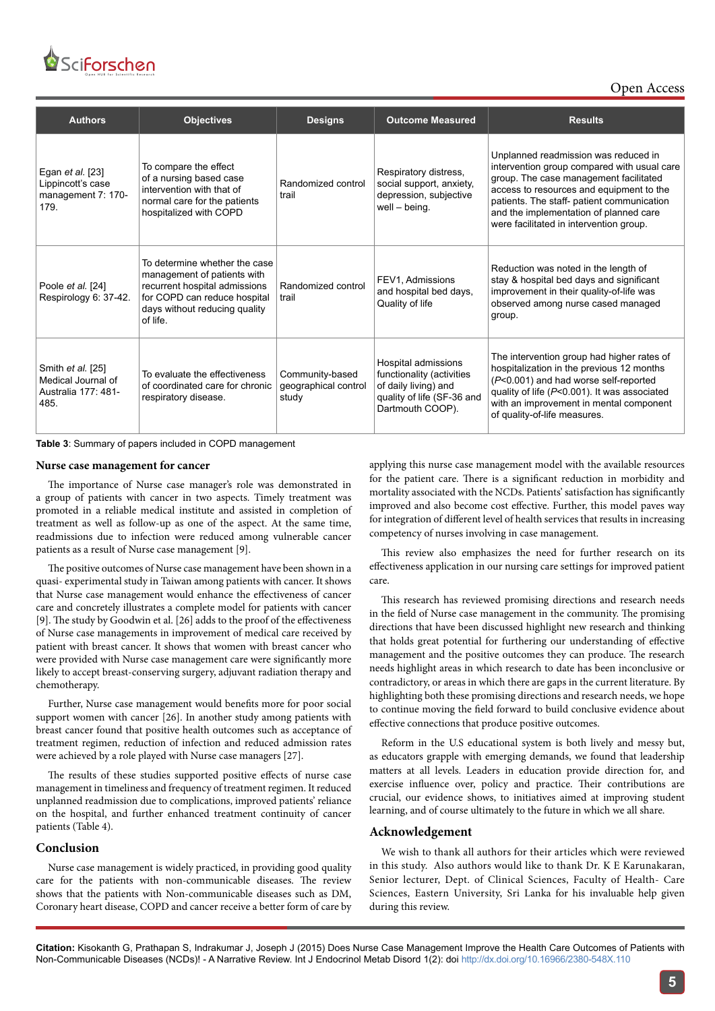

Open Access

| <b>Authors</b>                                                             | <b>Objectives</b>                                                                                                                                                          | <b>Designs</b>                                   | <b>Outcome Measured</b>                                                                                                    | <b>Results</b>                                                                                                                                                                                                                                                                                               |
|----------------------------------------------------------------------------|----------------------------------------------------------------------------------------------------------------------------------------------------------------------------|--------------------------------------------------|----------------------------------------------------------------------------------------------------------------------------|--------------------------------------------------------------------------------------------------------------------------------------------------------------------------------------------------------------------------------------------------------------------------------------------------------------|
| Egan <i>et al.</i> [23]<br>Lippincott's case<br>management 7: 170-<br>179. | To compare the effect<br>of a nursing based case<br>intervention with that of<br>normal care for the patients<br>hospitalized with COPD                                    | Randomized control<br>trail                      | Respiratory distress,<br>social support, anxiety,<br>depression, subjective<br>well - being.                               | Unplanned readmission was reduced in<br>intervention group compared with usual care<br>group. The case management facilitated<br>access to resources and equipment to the<br>patients. The staff- patient communication<br>and the implementation of planned care<br>were facilitated in intervention group. |
| Poole et al. [24]<br>Respirology 6: 37-42.                                 | To determine whether the case<br>management of patients with<br>recurrent hospital admissions<br>for COPD can reduce hospital<br>days without reducing quality<br>of life. | Randomized control<br>trail                      | FEV1, Admissions<br>and hospital bed days,<br>Quality of life                                                              | Reduction was noted in the length of<br>stay & hospital bed days and significant<br>improvement in their quality-of-life was<br>observed among nurse cased managed<br>group.                                                                                                                                 |
| Smith et al. [25]<br>Medical Journal of<br>Australia 177: 481-<br>485.     | To evaluate the effectiveness<br>of coordinated care for chronic<br>respiratory disease.                                                                                   | Community-based<br>geographical control<br>study | Hospital admissions<br>functionality (activities<br>of daily living) and<br>quality of life (SF-36 and<br>Dartmouth COOP). | The intervention group had higher rates of<br>hospitalization in the previous 12 months<br>(P<0.001) and had worse self-reported<br>quality of life (P<0.001). It was associated<br>with an improvement in mental component<br>of quality-of-life measures.                                                  |

| Table 3: Summary of papers included in COPD management |  |  |  |
|--------------------------------------------------------|--|--|--|
|--------------------------------------------------------|--|--|--|

#### **Nurse case management for cancer**

The importance of Nurse case manager's role was demonstrated in a group of patients with cancer in two aspects. Timely treatment was promoted in a reliable medical institute and assisted in completion of treatment as well as follow-up as one of the aspect. At the same time, readmissions due to infection were reduced among vulnerable cancer patients as a result of Nurse case management [9].

The positive outcomes of Nurse case management have been shown in a quasi- experimental study in Taiwan among patients with cancer. It shows that Nurse case management would enhance the effectiveness of cancer care and concretely illustrates a complete model for patients with cancer [9]. The study by Goodwin et al. [26] adds to the proof of the effectiveness of Nurse case managements in improvement of medical care received by patient with breast cancer. It shows that women with breast cancer who were provided with Nurse case management care were significantly more likely to accept breast-conserving surgery, adjuvant radiation therapy and chemotherapy.

Further, Nurse case management would benefits more for poor social support women with cancer [26]. In another study among patients with breast cancer found that positive health outcomes such as acceptance of treatment regimen, reduction of infection and reduced admission rates were achieved by a role played with Nurse case managers [27].

The results of these studies supported positive effects of nurse case management in timeliness and frequency of treatment regimen. It reduced unplanned readmission due to complications, improved patients' reliance on the hospital, and further enhanced treatment continuity of cancer patients (Table 4).

#### **Conclusion**

Nurse case management is widely practiced, in providing good quality care for the patients with non-communicable diseases. The review shows that the patients with Non-communicable diseases such as DM, Coronary heart disease, COPD and cancer receive a better form of care by applying this nurse case management model with the available resources for the patient care. There is a significant reduction in morbidity and mortality associated with the NCDs. Patients' satisfaction has significantly improved and also become cost effective. Further, this model paves way for integration of different level of health services that results in increasing competency of nurses involving in case management.

This review also emphasizes the need for further research on its effectiveness application in our nursing care settings for improved patient care.

This research has reviewed promising directions and research needs in the field of Nurse case management in the community. The promising directions that have been discussed highlight new research and thinking that holds great potential for furthering our understanding of effective management and the positive outcomes they can produce. The research needs highlight areas in which research to date has been inconclusive or contradictory, or areas in which there are gaps in the current literature. By highlighting both these promising directions and research needs, we hope to continue moving the field forward to build conclusive evidence about effective connections that produce positive outcomes.

Reform in the U.S educational system is both lively and messy but, as educators grapple with emerging demands, we found that leadership matters at all levels. Leaders in education provide direction for, and exercise influence over, policy and practice. Their contributions are crucial, our evidence shows, to initiatives aimed at improving student learning, and of course ultimately to the future in which we all share.

### **Acknowledgement**

We wish to thank all authors for their articles which were reviewed in this study. Also authors would like to thank Dr. K E Karunakaran, Senior lecturer, Dept. of Clinical Sciences, Faculty of Health- Care Sciences, Eastern University, Sri Lanka for his invaluable help given during this review.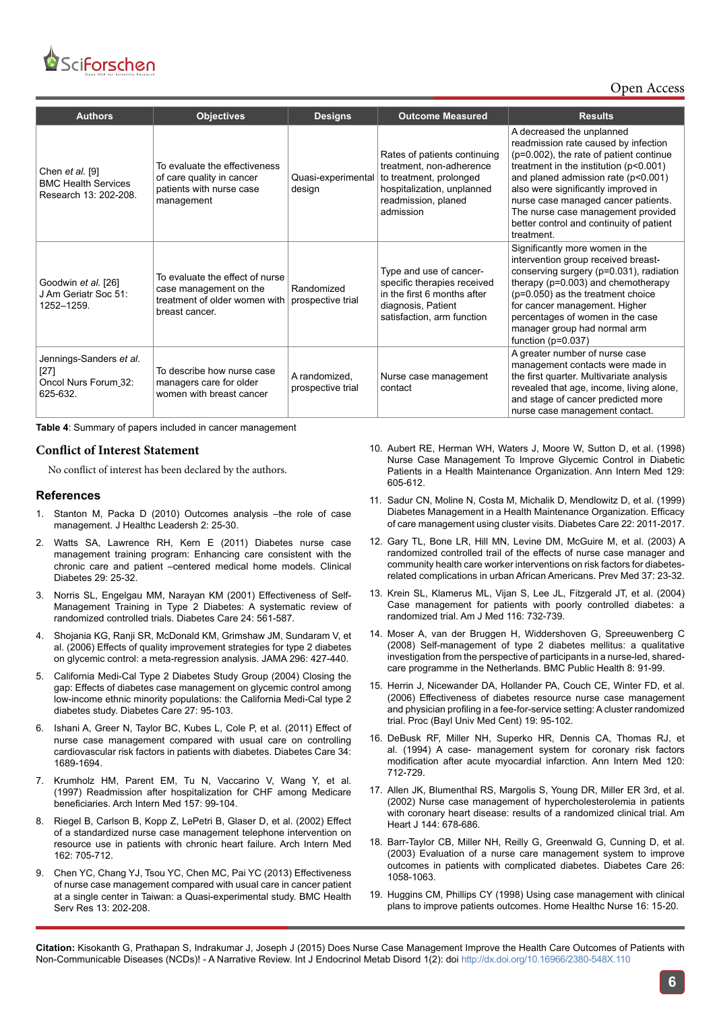

Open Access

| <b>Authors</b>                                                           | <b>Objectives</b>                                                                                            | <b>Designs</b>                     | <b>Outcome Measured</b>                                                                                                                               | <b>Results</b>                                                                                                                                                                                                                                                                                                                                                                |
|--------------------------------------------------------------------------|--------------------------------------------------------------------------------------------------------------|------------------------------------|-------------------------------------------------------------------------------------------------------------------------------------------------------|-------------------------------------------------------------------------------------------------------------------------------------------------------------------------------------------------------------------------------------------------------------------------------------------------------------------------------------------------------------------------------|
| Chen $et$ al. [9]<br><b>BMC Health Services</b><br>Research 13: 202-208. | To evaluate the effectiveness<br>of care quality in cancer<br>patients with nurse case<br>management         | Quasi-experimental<br>design       | Rates of patients continuing<br>treatment, non-adherence<br>to treatment, prolonged<br>hospitalization, unplanned<br>readmission, planed<br>admission | A decreased the unplanned<br>readmission rate caused by infection<br>(p=0.002), the rate of patient continue<br>treatment in the institution $(p<0.001)$<br>and planed admission rate (p<0.001)<br>also were significantly improved in<br>nurse case managed cancer patients.<br>The nurse case management provided<br>better control and continuity of patient<br>treatment. |
| Goodwin et al. [26]<br>J Am Geriatr Soc 51:<br>1252-1259.                | To evaluate the effect of nurse<br>case management on the<br>treatment of older women with<br>breast cancer. | Randomized<br>prospective trial    | Type and use of cancer-<br>specific therapies received<br>in the first 6 months after<br>diagnosis, Patient<br>satisfaction, arm function             | Significantly more women in the<br>intervention group received breast-<br>conserving surgery (p=0.031), radiation<br>therapy ( $p=0.003$ ) and chemotherapy<br>$(p=0.050)$ as the treatment choice<br>for cancer management. Higher<br>percentages of women in the case<br>manager group had normal arm<br>function ( $p=0.037$ )                                             |
| Jennings-Sanders et al.<br>$[27]$<br>Oncol Nurs Forum 32:<br>625-632.    | To describe how nurse case<br>managers care for older<br>women with breast cancer                            | A randomized,<br>prospective trial | Nurse case management<br>contact                                                                                                                      | A greater number of nurse case<br>management contacts were made in<br>the first quarter. Multivariate analysis<br>revealed that age, income, living alone,<br>and stage of cancer predicted more<br>nurse case management contact.                                                                                                                                            |

**Table 4**: Summary of papers included in cancer management

## **Conflict of Interest Statement**

No conflict of interest has been declared by the authors.

#### **References**

- 1. [Stanton M, Packa D \(2010\) Outcomes analysis –the role of case](http://www.dovepress.com/outcomes-analysis-the-role-of-case-management-peer-reviewed-article-JHL)  [management. J Healthc Leadersh 2: 25-30.](http://www.dovepress.com/outcomes-analysis-the-role-of-case-management-peer-reviewed-article-JHL)
- 2. [Watts SA, Lawrence RH, Kern E \(2011\) Diabetes nurse case](http://clinical.diabetesjournals.org/content/29/1/25.short)  [management training program: Enhancing care consistent with the](http://clinical.diabetesjournals.org/content/29/1/25.short)  [chronic care and patient –centered medical home models. Clinical](http://clinical.diabetesjournals.org/content/29/1/25.short)  [Diabetes 29: 25-32.](http://clinical.diabetesjournals.org/content/29/1/25.short)
- 3. [Norris SL, Engelgau MM, Narayan KM \(2001\) Effectiveness of Self-](http://www.ncbi.nlm.nih.gov/pubmed/11289485)[Management Training in Type 2 Diabetes: A systematic review of](http://www.ncbi.nlm.nih.gov/pubmed/11289485)  [randomized controlled trials. Diabetes Care 24: 561-587.](http://www.ncbi.nlm.nih.gov/pubmed/11289485)
- 4. Shojania KG, Ranji SR, McDonald KM, Grimshaw JM, Sundaram V, et al. (2006) Effects of quality improvement strategies for type 2 diabetes on glycemic control: a meta-regression analysis. JAMA 296: 427-440.
- 5. [California Medi-Cal Type 2 Diabetes Study Group \(2004\) Closing the](http://www.ncbi.nlm.nih.gov/pubmed/14693973)  [gap: Effects of diabetes case management on glycemic control among](http://www.ncbi.nlm.nih.gov/pubmed/14693973)  [low-income ethnic minority populations: the California Medi-Cal type 2](http://www.ncbi.nlm.nih.gov/pubmed/14693973)  [diabetes study. Diabetes Care 27: 95-103.](http://www.ncbi.nlm.nih.gov/pubmed/14693973)
- 6. [Ishani A, Greer N, Taylor BC, Kubes L, Cole P, et al. \(2011\) Effect of](http://www.ncbi.nlm.nih.gov/pubmed/21636796)  [nurse case management compared with usual care on controlling](http://www.ncbi.nlm.nih.gov/pubmed/21636796)  [cardiovascular risk factors in patients with diabetes. Diabetes Care 34:](http://www.ncbi.nlm.nih.gov/pubmed/21636796)  [1689-1694.](http://www.ncbi.nlm.nih.gov/pubmed/21636796)
- 7. [Krumholz HM, Parent EM, Tu N, Vaccarino V,](http://www.ncbi.nlm.nih.gov/pubmed/8996046) Wang Y, et al. [\(1997\) Readmission after hospitalization for CHF among Medicare](http://www.ncbi.nlm.nih.gov/pubmed/8996046)  [beneficiaries. Arch Intern Med 157: 99-104.](http://www.ncbi.nlm.nih.gov/pubmed/8996046)
- 8. [Riegel B, Carlson B, Kopp Z, LePetri B, Glaser D, et al. \(2002\) Effect](http://www.ncbi.nlm.nih.gov/pubmed/11911726)  [of a standardized nurse case management telephone intervention on](http://www.ncbi.nlm.nih.gov/pubmed/11911726)  [resource use in patients with chronic heart failure. Arch Intern Med](http://www.ncbi.nlm.nih.gov/pubmed/11911726)  [162: 705-712.](http://www.ncbi.nlm.nih.gov/pubmed/11911726)
- 9. [Chen YC, Chang YJ, Tsou YC, Chen MC, Pai YC \(2013\) Effectiveness](http://www.ncbi.nlm.nih.gov/pubmed/23725552)  [of nurse case management compared with usual care in cancer patient](http://www.ncbi.nlm.nih.gov/pubmed/23725552)  [at a single center in Taiwan: a Quasi-experimental study. BMC Health](http://www.ncbi.nlm.nih.gov/pubmed/23725552)  [Serv Res 13: 202-208.](http://www.ncbi.nlm.nih.gov/pubmed/23725552)
- 10. [Aubert RE, Herman WH, Waters J, Moore W, Sutton D, et al. \(1998\)](http://www.ncbi.nlm.nih.gov/pubmed/9786807) [Nurse Case Management To Improve Glycemic Control in Diabetic](http://www.ncbi.nlm.nih.gov/pubmed/9786807) [Patients in a Health Maintenance Organization. Ann Intern Med 129:](http://www.ncbi.nlm.nih.gov/pubmed/9786807) [605-612.](http://www.ncbi.nlm.nih.gov/pubmed/9786807)
- 11. [Sadur CN, Moline N, Costa M, Michalik D, Mendlowitz D, et al. \(1999\)](http://www.ncbi.nlm.nih.gov/pubmed/10587835) [Diabetes Management in a Health Maintenance Organization. Efficacy](http://www.ncbi.nlm.nih.gov/pubmed/10587835) [of care management using cluster visits. Diabetes Care 22: 2011-2017.](http://www.ncbi.nlm.nih.gov/pubmed/10587835)
- 12. [Gary TL, Bone LR, Hill MN, Levine DM, McGuire M, et al. \(2003\) A](http://www.ncbi.nlm.nih.gov/pubmed/12799126) [randomized controlled trail of the effects of nurse case manager and](http://www.ncbi.nlm.nih.gov/pubmed/12799126) [community health care worker interventions on risk factors for diabetes](http://www.ncbi.nlm.nih.gov/pubmed/12799126)[related complications in urban African Americans. Prev Med 37: 23-32.](http://www.ncbi.nlm.nih.gov/pubmed/12799126)
- 13. [Krein SL, Klamerus ML, Vijan S, Lee JL, Fitzgerald JT, et al. \(2004\)](http://www.ncbi.nlm.nih.gov/pubmed/15144909) [Case management for patients with poorly controlled diabetes: a](http://www.ncbi.nlm.nih.gov/pubmed/15144909) [randomized trial. Am J Med 116: 732-739.](http://www.ncbi.nlm.nih.gov/pubmed/15144909)
- 14. [Moser A, van der Bruggen H, Widdershoven G, Spreeuwenberg C](http://www.ncbi.nlm.nih.gov/pubmed/18366665) [\(2008\) Self-management of type 2 diabetes mellitus: a qualitative](http://www.ncbi.nlm.nih.gov/pubmed/18366665) [investigation from the perspective of participants in a nurse-led, shared](http://www.ncbi.nlm.nih.gov/pubmed/18366665)[care programme in the Netherlands. BMC Public Health 8: 91-99.](http://www.ncbi.nlm.nih.gov/pubmed/18366665)
- 15. [Herrin J, Nicewander DA, Hollander PA, Couch CE, Winter FD, et al.](http://www.ncbi.nlm.nih.gov/pubmed/16609732) [\(2006\) Effectiveness of diabetes resource nurse case management](http://www.ncbi.nlm.nih.gov/pubmed/16609732) [and physician profiling in a fee-for-service setting: A cluster randomized](http://www.ncbi.nlm.nih.gov/pubmed/16609732) [trial. Proc \(Bayl Univ Med Cent\) 19: 95-102.](http://www.ncbi.nlm.nih.gov/pubmed/16609732)
- 16. [DeBusk RF, Miller NH, Superko HR, Dennis CA, Thomas RJ, et](http://www.ncbi.nlm.nih.gov/pubmed/8147544) [al. \(1994\) A case- management system for coronary risk factors](http://www.ncbi.nlm.nih.gov/pubmed/8147544) [modification after acute myocardial infarction. Ann Intern Med 120:](http://www.ncbi.nlm.nih.gov/pubmed/8147544) [712-729.](http://www.ncbi.nlm.nih.gov/pubmed/8147544)
- 17. [Allen JK, Blumenthal RS, Margolis S, Young DR, Miller ER 3rd, et al.](http://www.ncbi.nlm.nih.gov/pubmed/12360165) [\(2002\) Nurse case management of hypercholesterolemia in patients](http://www.ncbi.nlm.nih.gov/pubmed/12360165) [with coronary heart disease: results of a randomized clinical trial. Am](http://www.ncbi.nlm.nih.gov/pubmed/12360165) [Heart J 144: 678-686.](http://www.ncbi.nlm.nih.gov/pubmed/12360165)
- 18. [Barr-Taylor CB, Miller NH, Reilly G, Greenwald G, Cunning D, et al.](http://www.ncbi.nlm.nih.gov/pubmed/12663573) [\(2003\) Evaluation of a nurse care management system to improve](http://www.ncbi.nlm.nih.gov/pubmed/12663573) [outcomes in patients with complicated diabetes. Diabetes Care 26:](http://www.ncbi.nlm.nih.gov/pubmed/12663573) [1058-1063.](http://www.ncbi.nlm.nih.gov/pubmed/12663573)
- 19. [Huggins CM, Phillips CY \(1998\) Using case management with clinical](http://www.ncbi.nlm.nih.gov/pubmed/9469068) [plans to improve patients outcomes. Home Healthc Nurse 16: 15-20.](http://www.ncbi.nlm.nih.gov/pubmed/9469068)